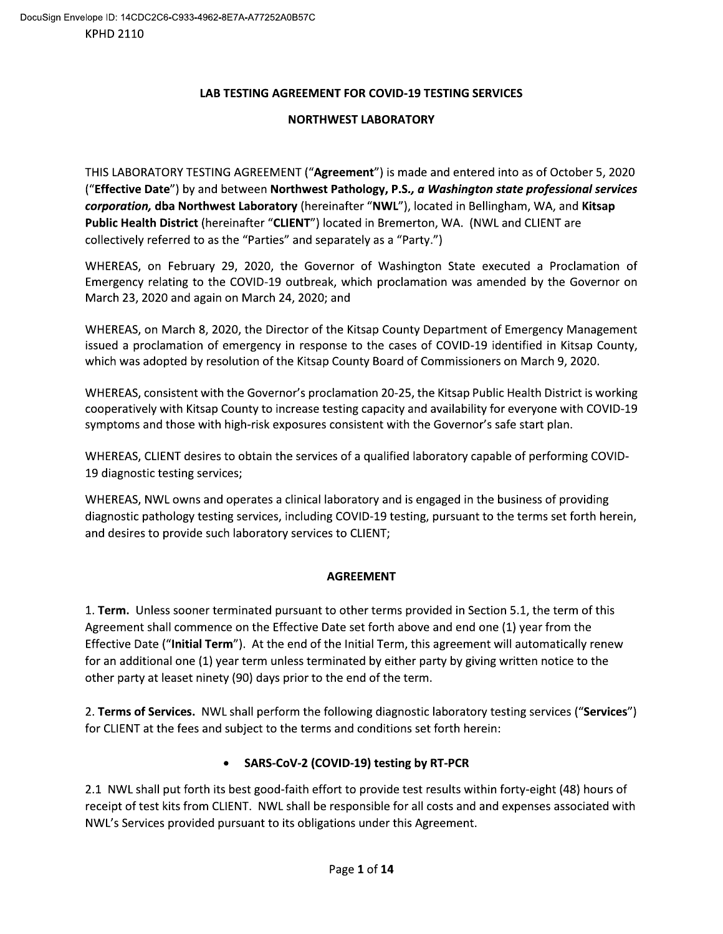## LAB TESTING AGREEMENT FOR COVID-19 TESTING SERVICES

## **NORTHWEST LABORATORY**

THIS LABORATORY TESTING AGREEMENT ("Agreement") is made and entered into as of October 5, 2020 ("Effective Date") by and between Northwest Pathology, P.S., a Washington state professional services corporation, dba Northwest Laboratory (hereinafter "NWL"), located in Bellingham, WA, and Kitsap Public Health District (hereinafter "CLIENT") located in Bremerton, WA. (NWL and CLIENT are collectively referred to as the "Parties" and separately as a "Party.")

WHEREAS, on February 29, 2020, the Governor of Washington State executed a Proclamation of Emergency relating to the COVID-19 outbreak, which proclamation was amended by the Governor on March 23, 2020 and again on March 24, 2020; and

WHEREAS, on March 8, 2020, the Director of the Kitsap County Department of Emergency Management issued a proclamation of emergency in response to the cases of COVID-19 identified in Kitsap County, which was adopted by resolution of the Kitsap County Board of Commissioners on March 9, 2020.

WHEREAS, consistent with the Governor's proclamation 20-25, the Kitsap Public Health District is working cooperatively with Kitsap County to increase testing capacity and availability for everyone with COVID-19 symptoms and those with high-risk exposures consistent with the Governor's safe start plan.

WHEREAS, CLIENT desires to obtain the services of a qualified laboratory capable of performing COVID-19 diagnostic testing services;

WHEREAS, NWL owns and operates a clinical laboratory and is engaged in the business of providing diagnostic pathology testing services, including COVID-19 testing, pursuant to the terms set forth herein, and desires to provide such laboratory services to CLIENT;

## **AGREEMENT**

1. Term. Unless sooner terminated pursuant to other terms provided in Section 5.1, the term of this Agreement shall commence on the Effective Date set forth above and end one (1) year from the Effective Date ("Initial Term"). At the end of the Initial Term, this agreement will automatically renew for an additional one (1) year term unless terminated by either party by giving written notice to the other party at leaset ninety (90) days prior to the end of the term.

2. Terms of Services. NWL shall perform the following diagnostic laboratory testing services ("Services") for CLIENT at the fees and subject to the terms and conditions set forth herein:

# • SARS-CoV-2 (COVID-19) testing by RT-PCR

2.1 NWL shall put forth its best good-faith effort to provide test results within forty-eight (48) hours of receipt of test kits from CLIENT. NWL shall be responsible for all costs and and expenses associated with NWL's Services provided pursuant to its obligations under this Agreement.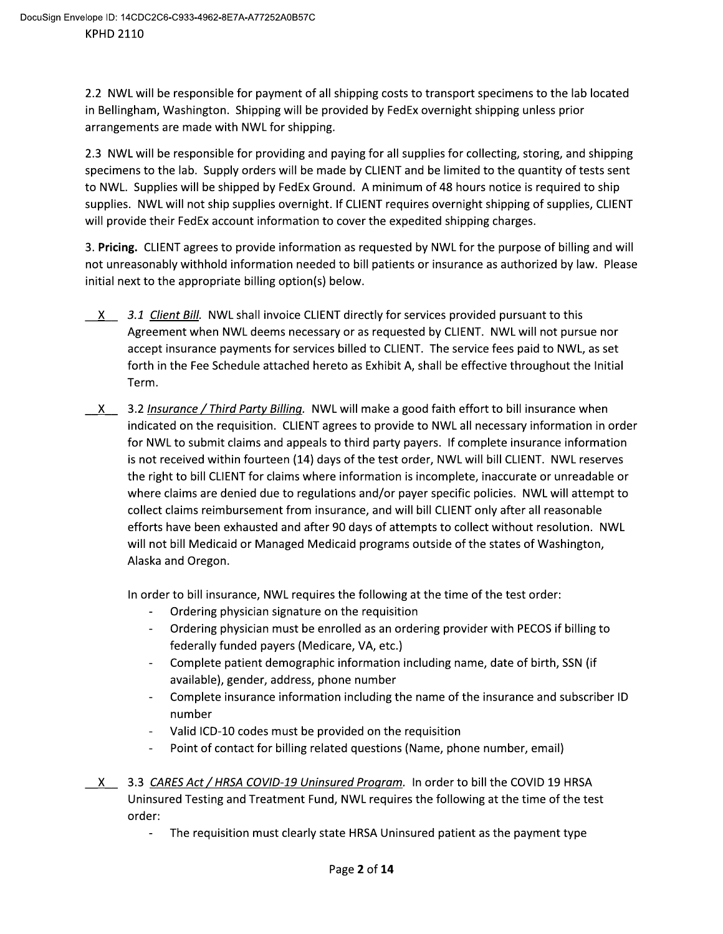2.2 NWL will be responsible for payment of all shipping costs to transport specimens to the lab located in Bellingham, Washington. Shipping will be provided by FedEx overnight shipping unless prior arrangements are made with NWL for shipping.

2.3 NWL will be responsible for providing and paying for all supplies for collecting, storing, and shipping specimens to the lab. Supply orders will be made by CLIENT and be limited to the quantity of tests sent to NWL. Supplies will be shipped by FedEx Ground. A minimum of 48 hours notice is required to ship supplies. NWL will not ship supplies overnight. If CLIENT requires overnight shipping of supplies, CLIENT will provide their FedEx account information to cover the expedited shipping charges.

3. Pricing. CLIENT agrees to provide information as requested by NWL for the purpose of billing and will not unreasonably withhold information needed to bill patients or insurance as authorized by law. Please initial next to the appropriate billing option(s) below.

- X 3.1 Client Bill. NWL shall invoice CLIENT directly for services provided pursuant to this Agreement when NWL deems necessary or as requested by CLIENT. NWL will not pursue nor accept insurance payments for services billed to CLIENT. The service fees paid to NWL, as set forth in the Fee Schedule attached hereto as Exhibit A, shall be effective throughout the Initial Term.
- X 3.2 Insurance / Third Party Billing. NWL will make a good faith effort to bill insurance when indicated on the requisition. CLIENT agrees to provide to NWL all necessary information in order for NWL to submit claims and appeals to third party payers. If complete insurance information is not received within fourteen (14) days of the test order, NWL will bill CLIENT. NWL reserves the right to bill CLIENT for claims where information is incomplete, inaccurate or unreadable or where claims are denied due to regulations and/or payer specific policies. NWL will attempt to collect claims reimbursement from insurance, and will bill CLIENT only after all reasonable efforts have been exhausted and after 90 days of attempts to collect without resolution. NWL will not bill Medicaid or Managed Medicaid programs outside of the states of Washington, Alaska and Oregon.

In order to bill insurance, NWL requires the following at the time of the test order:

- Ordering physician signature on the requisition
- Ordering physician must be enrolled as an ordering provider with PECOS if billing to  $\frac{1}{2}$ federally funded payers (Medicare, VA, etc.)
- Complete patient demographic information including name, date of birth, SSN (if available), gender, address, phone number
- Complete insurance information including the name of the insurance and subscriber ID number
- Valid ICD-10 codes must be provided on the requisition  $\Delta \sim 10^4$
- Point of contact for billing related questions (Name, phone number, email)  $\overline{\phantom{a}}$
- X 3.3 CARES Act / HRSA COVID-19 Uninsured Program. In order to bill the COVID 19 HRSA Uninsured Testing and Treatment Fund, NWL requires the following at the time of the test order:
	- The requisition must clearly state HRSA Uninsured patient as the payment type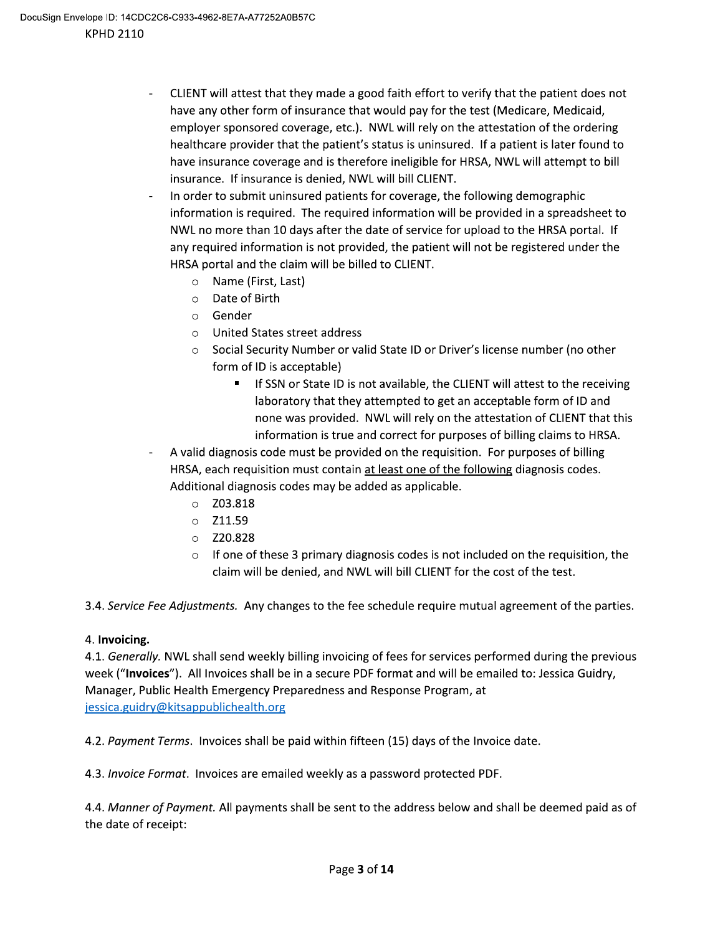- CLIENT will attest that they made a good faith effort to verify that the patient does not have any other form of insurance that would pay for the test (Medicare, Medicaid, employer sponsored coverage, etc.). NWL will rely on the attestation of the ordering healthcare provider that the patient's status is uninsured. If a patient is later found to have insurance coverage and is therefore ineligible for HRSA, NWL will attempt to bill insurance. If insurance is denied, NWL will bill CLIENT.
- In order to submit uninsured patients for coverage, the following demographic information is required. The required information will be provided in a spreadsheet to NWL no more than 10 days after the date of service for upload to the HRSA portal. If any required information is not provided, the patient will not be registered under the HRSA portal and the claim will be billed to CLIENT.
	- O Name (First, Last)
	- O Date of Birth
	- o Gender
	- United States street address  $\circ$
	- Social Security Number or valid State ID or Driver's license number (no other form of ID is acceptable)
		- If SSN or State ID is not available, the CLIENT will attest to the receiving laboratory that they attempted to get an acceptable form of ID and none was provided. NWL will rely on the attestation of CLIENT that this information is true and correct for purposes of billing claims to HRSA.
- A valid diagnosis code must be provided on the requisition. For purposes of billing HRSA, each requisition must contain at least one of the following diagnosis codes. Additional diagnosis codes may be added as applicable.
	- $\circ$  Z03.818
	- $\circ$  Z11.59
	- $\circ$  Z20.828
	- $\circ$  If one of these 3 primary diagnosis codes is not included on the requisition, the claim will be denied, and NWL will bill CLIENT for the cost of the test.

3.4. Service Fee Adjustments. Any changes to the fee schedule require mutual agreement of the parties.

## 4. Invoicing.

4.1. Generally. NWL shall send weekly billing invoicing of fees for services performed during the previous week ("Invoices"). All Invoices shall be in a secure PDF format and will be emailed to: Jessica Guidry, Manager, Public Health Emergency Preparedness and Response Program, at jessica.guidry@kitsappublichealth.org

4.2. Payment Terms. Invoices shall be paid within fifteen (15) days of the Invoice date.

4.3. Invoice Format. Invoices are emailed weekly as a password protected PDF.

4.4. Manner of Payment. All payments shall be sent to the address below and shall be deemed paid as of the date of receipt: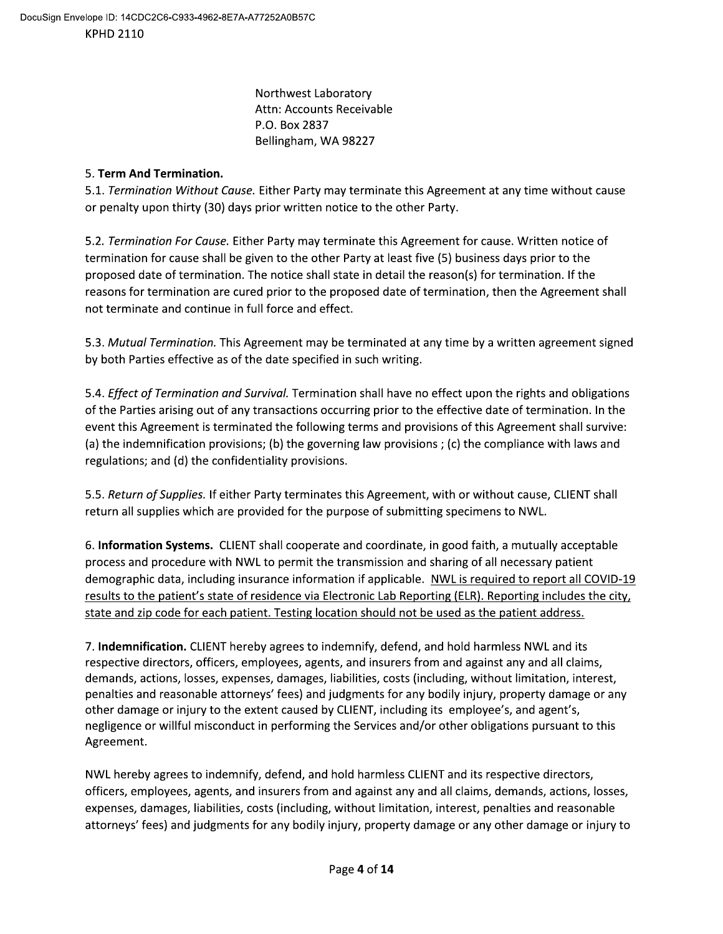Northwest Laboratory Attn: Accounts Receivable P.O. Box 2837 Bellingham, WA 98227

## 5. Term And Termination.

5.1. Termination Without Cause. Either Party may terminate this Agreement at any time without cause or penalty upon thirty (30) days prior written notice to the other Party.

5.2. Termination For Cause. Either Party may terminate this Agreement for cause. Written notice of termination for cause shall be given to the other Party at least five (5) business days prior to the proposed date of termination. The notice shall state in detail the reason(s) for termination. If the reasons for termination are cured prior to the proposed date of termination, then the Agreement shall not terminate and continue in full force and effect.

5.3. Mutual Termination. This Agreement may be terminated at any time by a written agreement signed by both Parties effective as of the date specified in such writing.

5.4. Effect of Termination and Survival. Termination shall have no effect upon the rights and obligations of the Parties arising out of any transactions occurring prior to the effective date of termination. In the event this Agreement is terminated the following terms and provisions of this Agreement shall survive: (a) the indemnification provisions; (b) the governing law provisions; (c) the compliance with laws and regulations; and (d) the confidentiality provisions.

5.5. Return of Supplies. If either Party terminates this Agreement, with or without cause, CLIENT shall return all supplies which are provided for the purpose of submitting specimens to NWL.

6. Information Systems. CLIENT shall cooperate and coordinate, in good faith, a mutually acceptable process and procedure with NWL to permit the transmission and sharing of all necessary patient demographic data, including insurance information if applicable. NWL is required to report all COVID-19 results to the patient's state of residence via Electronic Lab Reporting (ELR). Reporting includes the city, state and zip code for each patient. Testing location should not be used as the patient address.

7. Indemnification. CLIENT hereby agrees to indemnify, defend, and hold harmless NWL and its respective directors, officers, employees, agents, and insurers from and against any and all claims, demands, actions, losses, expenses, damages, liabilities, costs (including, without limitation, interest, penalties and reasonable attorneys' fees) and judgments for any bodily injury, property damage or any other damage or injury to the extent caused by CLIENT, including its employee's, and agent's, negligence or willful misconduct in performing the Services and/or other obligations pursuant to this Agreement.

NWL hereby agrees to indemnify, defend, and hold harmless CLIENT and its respective directors, officers, employees, agents, and insurers from and against any and all claims, demands, actions, losses, expenses, damages, liabilities, costs (including, without limitation, interest, penalties and reasonable attorneys' fees) and judgments for any bodily injury, property damage or any other damage or injury to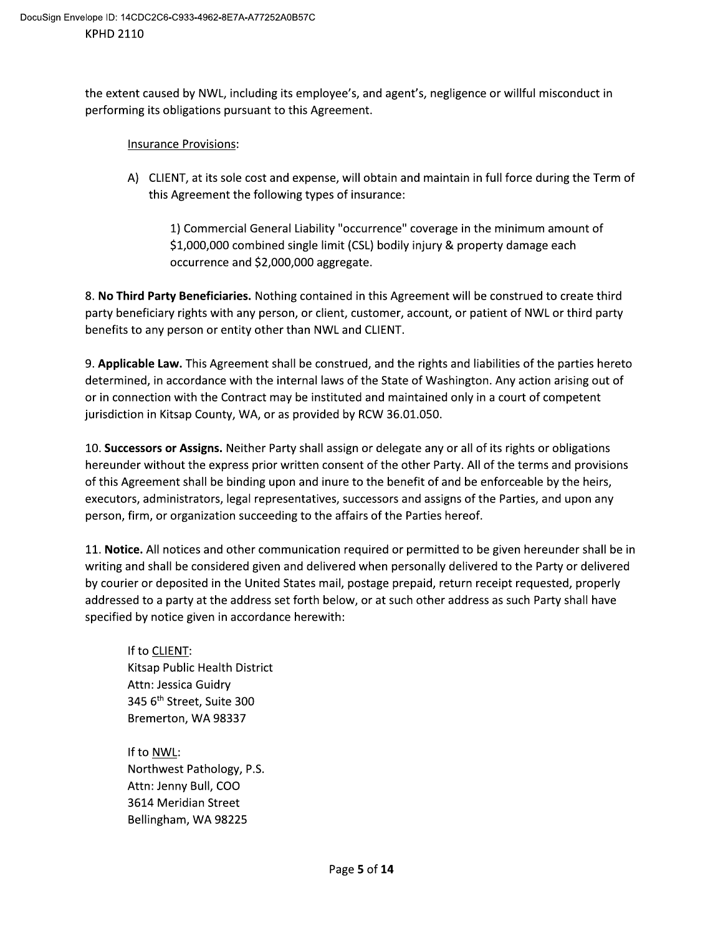the extent caused by NWL, including its employee's, and agent's, negligence or willful misconduct in performing its obligations pursuant to this Agreement.

## **Insurance Provisions:**

A) CLIENT, at its sole cost and expense, will obtain and maintain in full force during the Term of this Agreement the following types of insurance:

1) Commercial General Liability "occurrence" coverage in the minimum amount of \$1,000,000 combined single limit (CSL) bodily injury & property damage each occurrence and \$2,000,000 aggregate.

8. No Third Party Beneficiaries. Nothing contained in this Agreement will be construed to create third party beneficiary rights with any person, or client, customer, account, or patient of NWL or third party benefits to any person or entity other than NWL and CLIENT.

9. Applicable Law. This Agreement shall be construed, and the rights and liabilities of the parties hereto determined, in accordance with the internal laws of the State of Washington. Any action arising out of or in connection with the Contract may be instituted and maintained only in a court of competent jurisdiction in Kitsap County, WA, or as provided by RCW 36.01.050.

10. Successors or Assigns. Neither Party shall assign or delegate any or all of its rights or obligations hereunder without the express prior written consent of the other Party. All of the terms and provisions of this Agreement shall be binding upon and inure to the benefit of and be enforceable by the heirs, executors, administrators, legal representatives, successors and assigns of the Parties, and upon any person, firm, or organization succeeding to the affairs of the Parties hereof.

11. Notice. All notices and other communication required or permitted to be given hereunder shall be in writing and shall be considered given and delivered when personally delivered to the Party or delivered by courier or deposited in the United States mail, postage prepaid, return receipt requested, properly addressed to a party at the address set forth below, or at such other address as such Party shall have specified by notice given in accordance herewith:

If to CLIENT: Kitsap Public Health District Attn: Jessica Guidry 345 6<sup>th</sup> Street, Suite 300 Bremerton, WA 98337

If to NWL: Northwest Pathology, P.S. Attn: Jenny Bull, COO 3614 Meridian Street Bellingham, WA 98225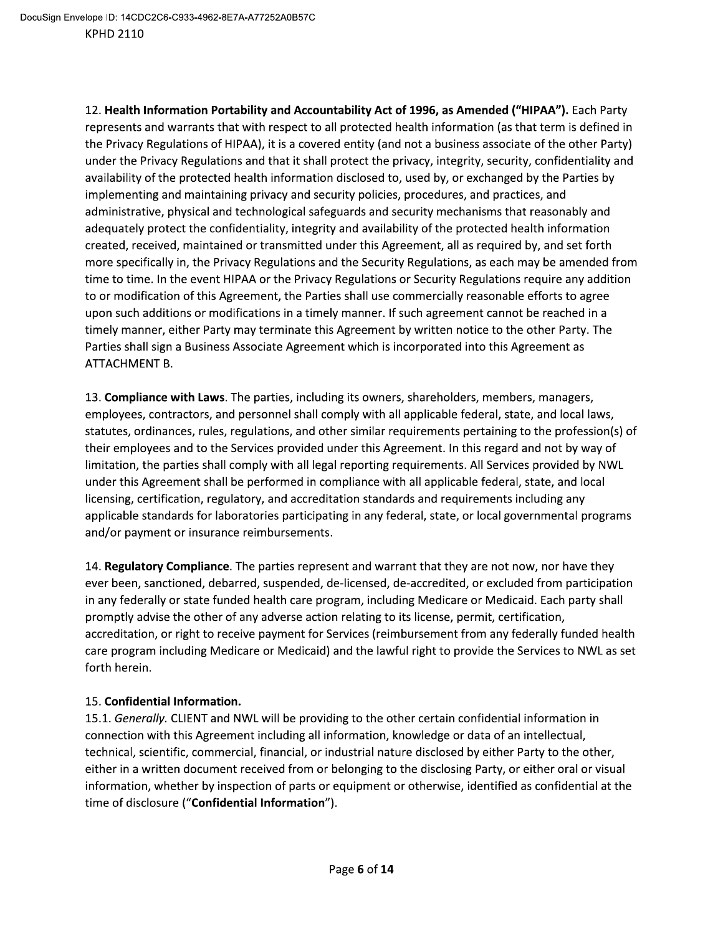12. Health Information Portability and Accountability Act of 1996, as Amended ("HIPAA"). Each Party represents and warrants that with respect to all protected health information (as that term is defined in the Privacy Regulations of HIPAA), it is a covered entity (and not a business associate of the other Party) under the Privacy Regulations and that it shall protect the privacy, integrity, security, confidentiality and availability of the protected health information disclosed to, used by, or exchanged by the Parties by implementing and maintaining privacy and security policies, procedures, and practices, and administrative, physical and technological safeguards and security mechanisms that reasonably and adequately protect the confidentiality, integrity and availability of the protected health information created, received, maintained or transmitted under this Agreement, all as required by, and set forth more specifically in, the Privacy Regulations and the Security Regulations, as each may be amended from time to time. In the event HIPAA or the Privacy Regulations or Security Regulations require any addition to or modification of this Agreement, the Parties shall use commercially reasonable efforts to agree upon such additions or modifications in a timely manner. If such agreement cannot be reached in a timely manner, either Party may terminate this Agreement by written notice to the other Party. The Parties shall sign a Business Associate Agreement which is incorporated into this Agreement as ATTACHMENT B.

13. Compliance with Laws. The parties, including its owners, shareholders, members, managers, employees, contractors, and personnel shall comply with all applicable federal, state, and local laws, statutes, ordinances, rules, regulations, and other similar requirements pertaining to the profession(s) of their employees and to the Services provided under this Agreement. In this regard and not by way of limitation, the parties shall comply with all legal reporting requirements. All Services provided by NWL under this Agreement shall be performed in compliance with all applicable federal, state, and local licensing, certification, regulatory, and accreditation standards and requirements including any applicable standards for laboratories participating in any federal, state, or local governmental programs and/or payment or insurance reimbursements.

14. Regulatory Compliance. The parties represent and warrant that they are not now, nor have they ever been, sanctioned, debarred, suspended, de-licensed, de-accredited, or excluded from participation in any federally or state funded health care program, including Medicare or Medicaid. Each party shall promptly advise the other of any adverse action relating to its license, permit, certification, accreditation, or right to receive payment for Services (reimbursement from any federally funded health care program including Medicare or Medicaid) and the lawful right to provide the Services to NWL as set forth herein.

## 15. Confidential Information.

15.1. Generally. CLIENT and NWL will be providing to the other certain confidential information in connection with this Agreement including all information, knowledge or data of an intellectual, technical, scientific, commercial, financial, or industrial nature disclosed by either Party to the other, either in a written document received from or belonging to the disclosing Party, or either oral or visual information, whether by inspection of parts or equipment or otherwise, identified as confidential at the time of disclosure ("Confidential Information").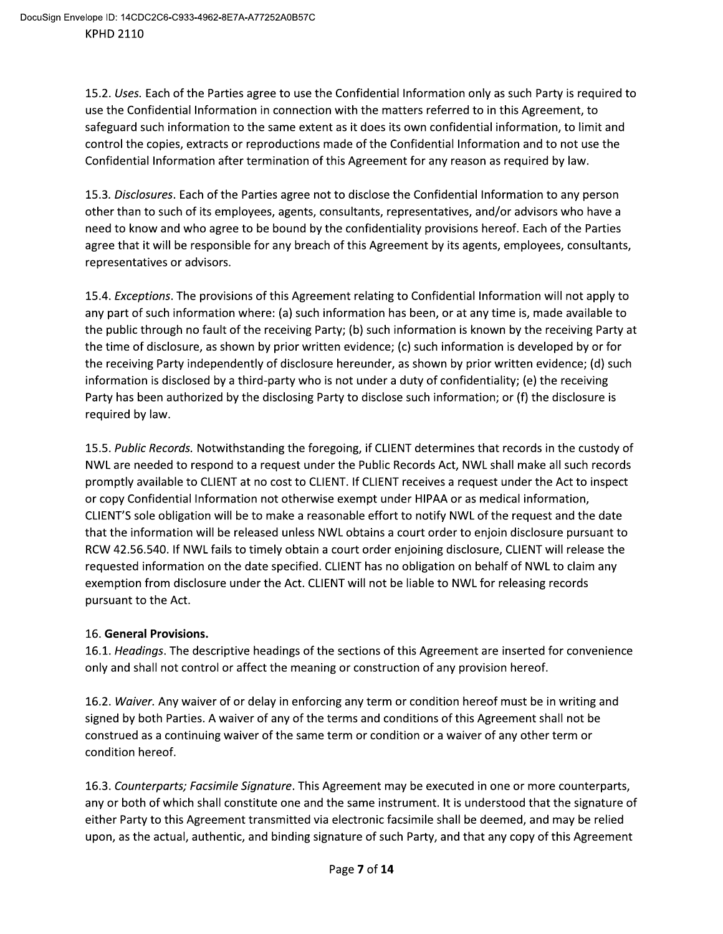15.2. Uses. Each of the Parties agree to use the Confidential Information only as such Party is required to use the Confidential Information in connection with the matters referred to in this Agreement, to safeguard such information to the same extent as it does its own confidential information, to limit and control the copies, extracts or reproductions made of the Confidential Information and to not use the Confidential Information after termination of this Agreement for any reason as required by law.

15.3. Disclosures. Each of the Parties agree not to disclose the Confidential Information to any person other than to such of its employees, agents, consultants, representatives, and/or advisors who have a need to know and who agree to be bound by the confidentiality provisions hereof. Each of the Parties agree that it will be responsible for any breach of this Agreement by its agents, employees, consultants, representatives or advisors.

15.4. Exceptions. The provisions of this Agreement relating to Confidential Information will not apply to any part of such information where: (a) such information has been, or at any time is, made available to the public through no fault of the receiving Party; (b) such information is known by the receiving Party at the time of disclosure, as shown by prior written evidence; (c) such information is developed by or for the receiving Party independently of disclosure hereunder, as shown by prior written evidence; (d) such information is disclosed by a third-party who is not under a duty of confidentiality; (e) the receiving Party has been authorized by the disclosing Party to disclose such information; or (f) the disclosure is required by law.

15.5. Public Records. Notwithstanding the foregoing, if CLIENT determines that records in the custody of NWL are needed to respond to a request under the Public Records Act, NWL shall make all such records promptly available to CLIENT at no cost to CLIENT. If CLIENT receives a request under the Act to inspect or copy Confidential Information not otherwise exempt under HIPAA or as medical information, CLIENT'S sole obligation will be to make a reasonable effort to notify NWL of the request and the date that the information will be released unless NWL obtains a court order to enjoin disclosure pursuant to RCW 42.56.540. If NWL fails to timely obtain a court order enjoining disclosure, CLIENT will release the requested information on the date specified. CLIENT has no obligation on behalf of NWL to claim any exemption from disclosure under the Act. CLIENT will not be liable to NWL for releasing records pursuant to the Act.

# 16. General Provisions.

16.1. Headings. The descriptive headings of the sections of this Agreement are inserted for convenience only and shall not control or affect the meaning or construction of any provision hereof.

16.2. Waiver. Any waiver of or delay in enforcing any term or condition hereof must be in writing and signed by both Parties. A waiver of any of the terms and conditions of this Agreement shall not be construed as a continuing waiver of the same term or condition or a waiver of any other term or condition hereof.

16.3. Counterparts; Facsimile Signature. This Agreement may be executed in one or more counterparts, any or both of which shall constitute one and the same instrument. It is understood that the signature of either Party to this Agreement transmitted via electronic facsimile shall be deemed, and may be relied upon, as the actual, authentic, and binding signature of such Party, and that any copy of this Agreement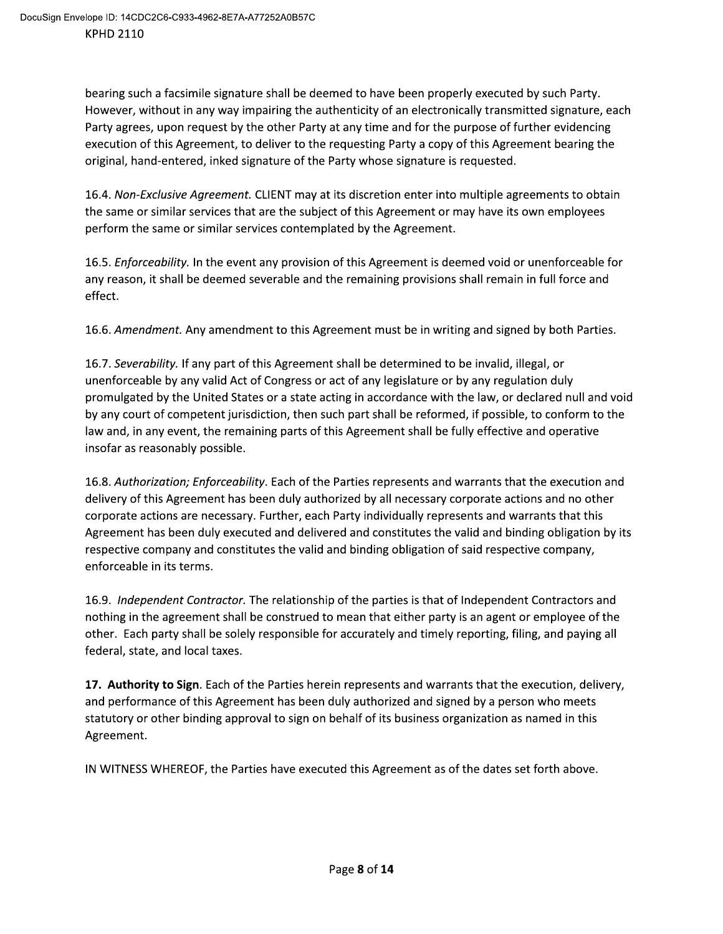bearing such a facsimile signature shall be deemed to have been properly executed by such Party. However, without in any way impairing the authenticity of an electronically transmitted signature, each Party agrees, upon request by the other Party at any time and for the purpose of further evidencing execution of this Agreement, to deliver to the requesting Party a copy of this Agreement bearing the original, hand-entered, inked signature of the Party whose signature is requested.

16.4. Non-Exclusive Agreement. CLIENT may at its discretion enter into multiple agreements to obtain the same or similar services that are the subject of this Agreement or may have its own employees perform the same or similar services contemplated by the Agreement.

16.5. Enforceability. In the event any provision of this Agreement is deemed void or unenforceable for any reason, it shall be deemed severable and the remaining provisions shall remain in full force and effect.

16.6. Amendment. Any amendment to this Agreement must be in writing and signed by both Parties.

16.7. Severability. If any part of this Agreement shall be determined to be invalid, illegal, or unenforceable by any valid Act of Congress or act of any legislature or by any regulation duly promulgated by the United States or a state acting in accordance with the law, or declared null and void by any court of competent jurisdiction, then such part shall be reformed, if possible, to conform to the law and, in any event, the remaining parts of this Agreement shall be fully effective and operative insofar as reasonably possible.

16.8. Authorization; Enforceability. Each of the Parties represents and warrants that the execution and delivery of this Agreement has been duly authorized by all necessary corporate actions and no other corporate actions are necessary. Further, each Party individually represents and warrants that this Agreement has been duly executed and delivered and constitutes the valid and binding obligation by its respective company and constitutes the valid and binding obligation of said respective company, enforceable in its terms.

16.9. Independent Contractor. The relationship of the parties is that of Independent Contractors and nothing in the agreement shall be construed to mean that either party is an agent or employee of the other. Each party shall be solely responsible for accurately and timely reporting, filing, and paying all federal, state, and local taxes.

17. Authority to Sign. Each of the Parties herein represents and warrants that the execution, delivery, and performance of this Agreement has been duly authorized and signed by a person who meets statutory or other binding approval to sign on behalf of its business organization as named in this Agreement.

IN WITNESS WHEREOF, the Parties have executed this Agreement as of the dates set forth above.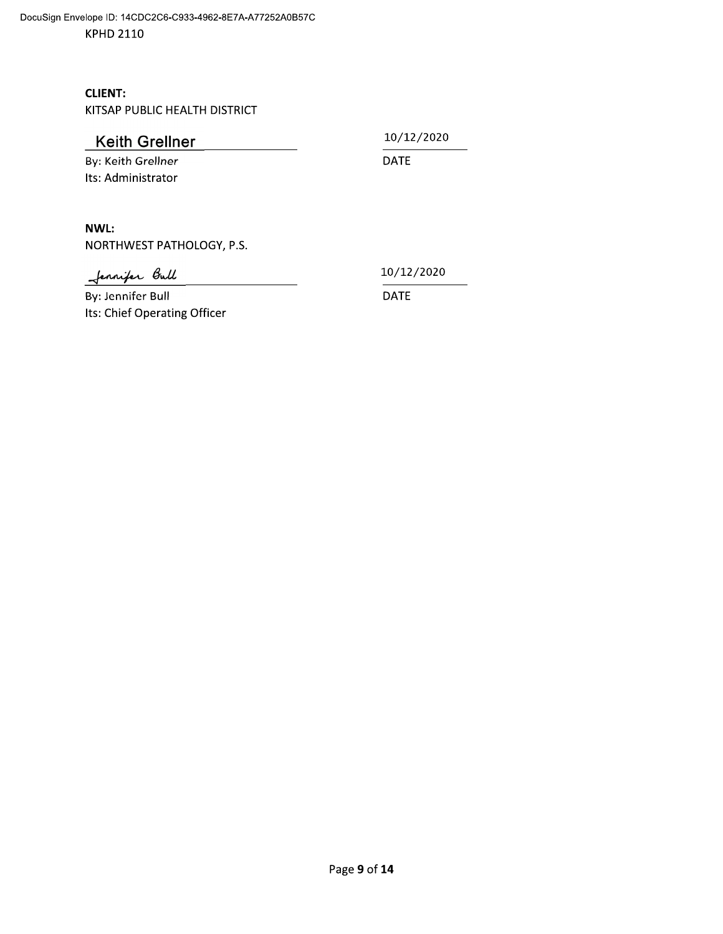## **CLIENT:**

KITSAP PUBLIC HEALTH DISTRICT

| <b>Keith Grellner</b>        | 10/12/2020  |
|------------------------------|-------------|
| By: Keith Grellner           | <b>DATE</b> |
| Its: Administrator           |             |
|                              |             |
| NWL:                         |             |
| NORTHWEST PATHOLOGY, P.S.    |             |
| Jennifer Bull                | 10/12/2020  |
| By: Jennifer Bull            | <b>DATE</b> |
| Its: Chief Operating Officer |             |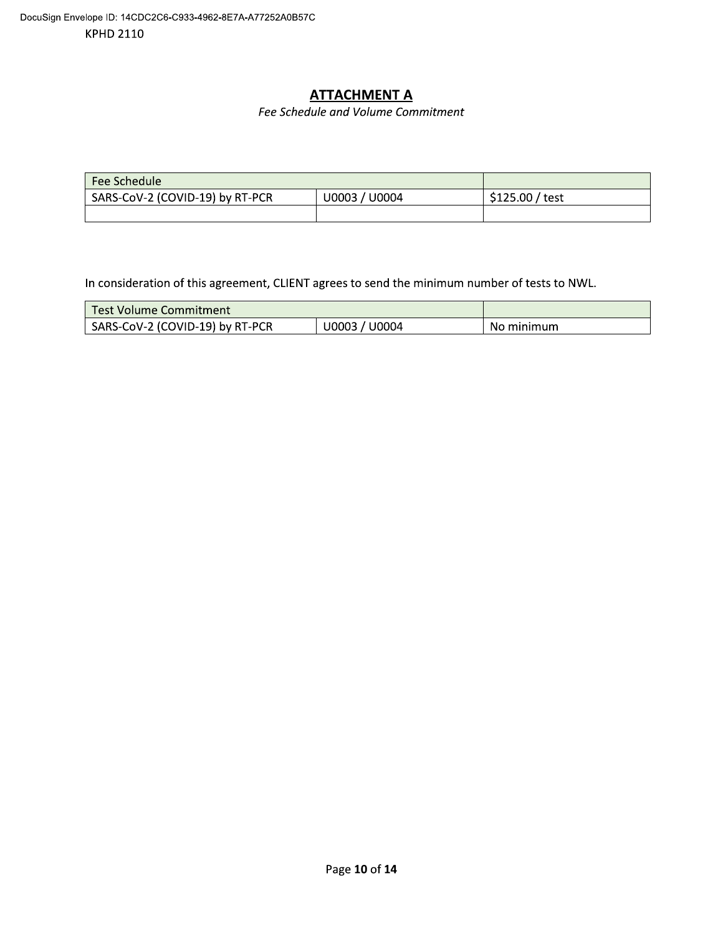# **ATTACHMENT A**

# Fee Schedule and Volume Commitment

| <b>Fee Schedule</b>             |               |                    |
|---------------------------------|---------------|--------------------|
| SARS-CoV-2 (COVID-19) by RT-PCR | U0003 / U0004 | \$125.00<br>/ test |
|                                 |               |                    |

In consideration of this agreement, CLIENT agrees to send the minimum number of tests to NWL.

| Test Volume Commitment          |               |            |
|---------------------------------|---------------|------------|
| SARS-CoV-2 (COVID-19) by RT-PCR | U0003 / U0004 | No minimum |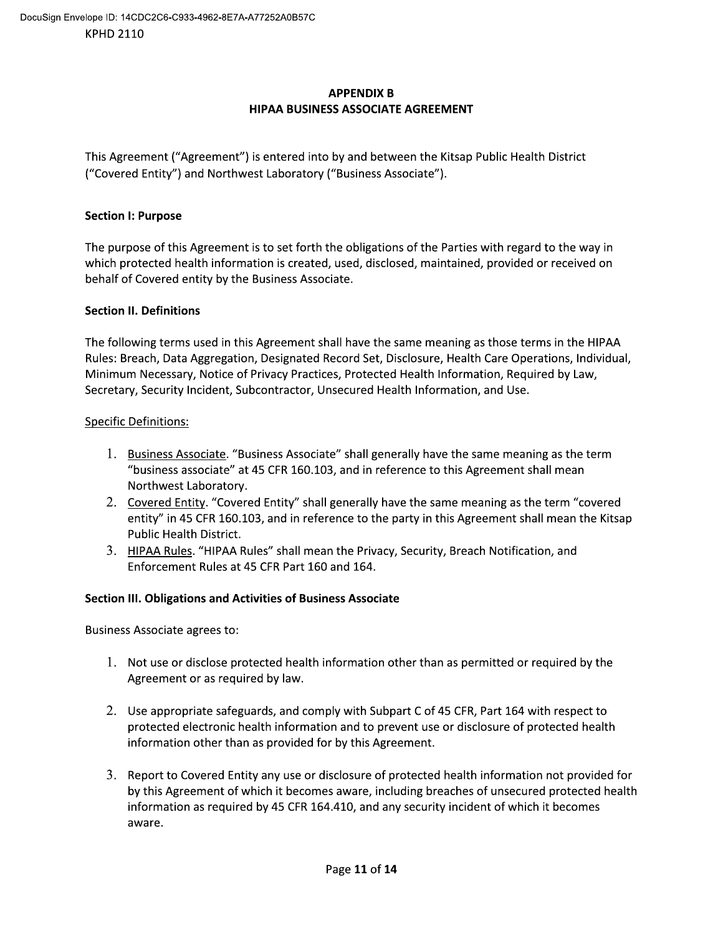## **APPENDIX B** HIPAA BUSINESS ASSOCIATE AGREEMENT

This Agreement ("Agreement") is entered into by and between the Kitsap Public Health District ("Covered Entity") and Northwest Laboratory ("Business Associate").

## **Section I: Purpose**

The purpose of this Agreement is to set forth the obligations of the Parties with regard to the way in which protected health information is created, used, disclosed, maintained, provided or received on behalf of Covered entity by the Business Associate.

## **Section II. Definitions**

The following terms used in this Agreement shall have the same meaning as those terms in the HIPAA Rules: Breach, Data Aggregation, Designated Record Set, Disclosure, Health Care Operations, Individual, Minimum Necessary, Notice of Privacy Practices, Protected Health Information, Required by Law, Secretary, Security Incident, Subcontractor, Unsecured Health Information, and Use.

## **Specific Definitions:**

- 1. Business Associate. "Business Associate" shall generally have the same meaning as the term "business associate" at 45 CFR 160.103, and in reference to this Agreement shall mean Northwest Laboratory.
- 2. Covered Entity. "Covered Entity" shall generally have the same meaning as the term "covered entity" in 45 CFR 160.103, and in reference to the party in this Agreement shall mean the Kitsap Public Health District.
- 3. HIPAA Rules. "HIPAA Rules" shall mean the Privacy, Security, Breach Notification, and Enforcement Rules at 45 CFR Part 160 and 164.

### **Section III. Obligations and Activities of Business Associate**

**Business Associate agrees to:** 

- 1. Not use or disclose protected health information other than as permitted or required by the Agreement or as required by law.
- 2. Use appropriate safeguards, and comply with Subpart C of 45 CFR, Part 164 with respect to protected electronic health information and to prevent use or disclosure of protected health information other than as provided for by this Agreement.
- 3. Report to Covered Entity any use or disclosure of protected health information not provided for by this Agreement of which it becomes aware, including breaches of unsecured protected health information as required by 45 CFR 164.410, and any security incident of which it becomes aware.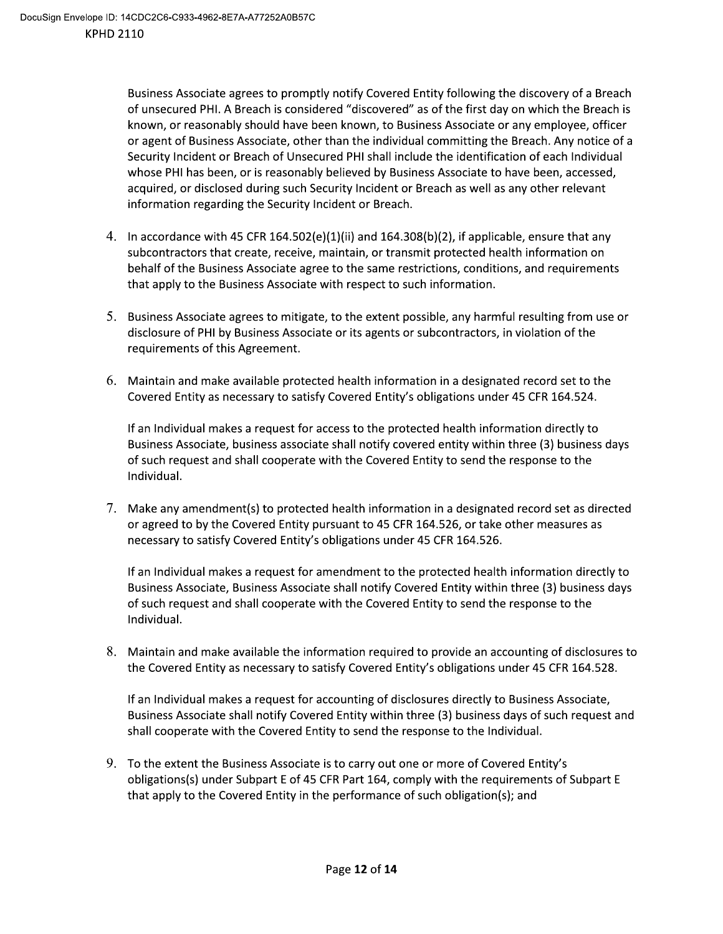Business Associate agrees to promptly notify Covered Entity following the discovery of a Breach of unsecured PHI. A Breach is considered "discovered" as of the first day on which the Breach is known, or reasonably should have been known, to Business Associate or any employee, officer or agent of Business Associate, other than the individual committing the Breach. Any notice of a Security Incident or Breach of Unsecured PHI shall include the identification of each Individual whose PHI has been, or is reasonably believed by Business Associate to have been, accessed, acquired, or disclosed during such Security Incident or Breach as well as any other relevant information regarding the Security Incident or Breach.

- 4. In accordance with 45 CFR 164.502(e)(1)(ii) and 164.308(b)(2), if applicable, ensure that any subcontractors that create, receive, maintain, or transmit protected health information on behalf of the Business Associate agree to the same restrictions, conditions, and requirements that apply to the Business Associate with respect to such information.
- 5. Business Associate agrees to mitigate, to the extent possible, any harmful resulting from use or disclosure of PHI by Business Associate or its agents or subcontractors, in violation of the requirements of this Agreement.
- 6. Maintain and make available protected health information in a designated record set to the Covered Entity as necessary to satisfy Covered Entity's obligations under 45 CFR 164.524.

If an Individual makes a request for access to the protected health information directly to Business Associate, business associate shall notify covered entity within three (3) business days of such request and shall cooperate with the Covered Entity to send the response to the Individual.

7. Make any amendment(s) to protected health information in a designated record set as directed or agreed to by the Covered Entity pursuant to 45 CFR 164.526, or take other measures as necessary to satisfy Covered Entity's obligations under 45 CFR 164.526.

If an Individual makes a request for amendment to the protected health information directly to Business Associate, Business Associate shall notify Covered Entity within three (3) business days of such request and shall cooperate with the Covered Entity to send the response to the Individual.

8. Maintain and make available the information required to provide an accounting of disclosures to the Covered Entity as necessary to satisfy Covered Entity's obligations under 45 CFR 164.528.

If an Individual makes a request for accounting of disclosures directly to Business Associate, Business Associate shall notify Covered Entity within three (3) business days of such request and shall cooperate with the Covered Entity to send the response to the Individual.

9. To the extent the Business Associate is to carry out one or more of Covered Entity's obligations(s) under Subpart E of 45 CFR Part 164, comply with the requirements of Subpart E that apply to the Covered Entity in the performance of such obligation(s); and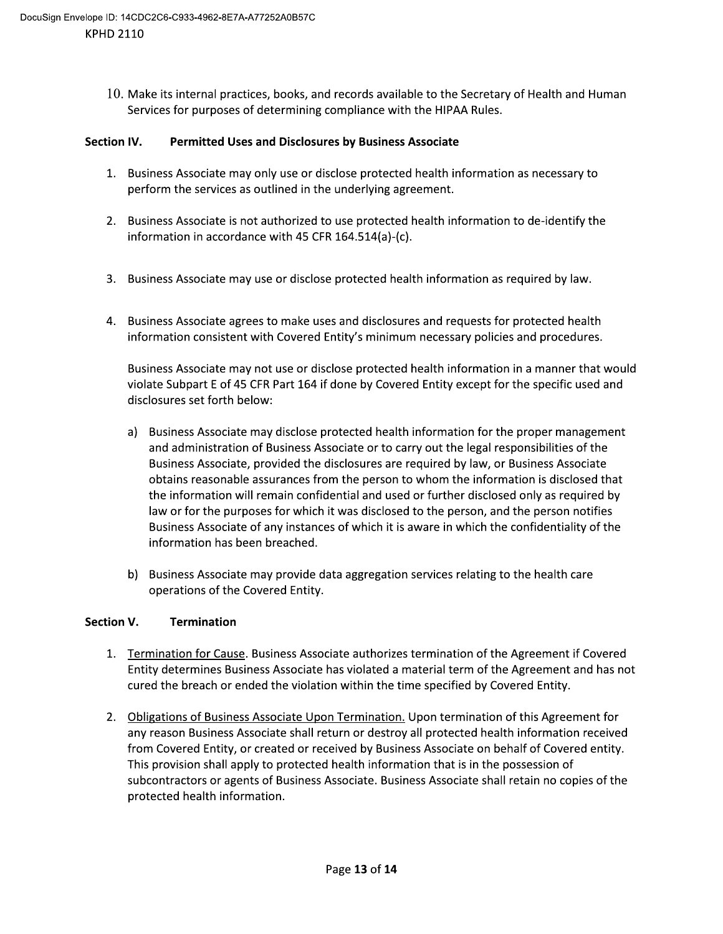10. Make its internal practices, books, and records available to the Secretary of Health and Human Services for purposes of determining compliance with the HIPAA Rules.

### **Section IV. Permitted Uses and Disclosures by Business Associate**

- 1. Business Associate may only use or disclose protected health information as necessary to perform the services as outlined in the underlying agreement.
- 2. Business Associate is not authorized to use protected health information to de-identify the information in accordance with 45 CFR 164.514(a)-(c).
- 3. Business Associate may use or disclose protected health information as required by law.
- 4. Business Associate agrees to make uses and disclosures and requests for protected health information consistent with Covered Entity's minimum necessary policies and procedures.

Business Associate may not use or disclose protected health information in a manner that would violate Subpart E of 45 CFR Part 164 if done by Covered Entity except for the specific used and disclosures set forth below:

- a) Business Associate may disclose protected health information for the proper management and administration of Business Associate or to carry out the legal responsibilities of the Business Associate, provided the disclosures are required by law, or Business Associate obtains reasonable assurances from the person to whom the information is disclosed that the information will remain confidential and used or further disclosed only as required by law or for the purposes for which it was disclosed to the person, and the person notifies Business Associate of any instances of which it is aware in which the confidentiality of the information has been breached.
- b) Business Associate may provide data aggregation services relating to the health care operations of the Covered Entity.

#### **Section V. Termination**

- 1. Termination for Cause. Business Associate authorizes termination of the Agreement if Covered Entity determines Business Associate has violated a material term of the Agreement and has not cured the breach or ended the violation within the time specified by Covered Entity.
- 2. Obligations of Business Associate Upon Termination. Upon termination of this Agreement for any reason Business Associate shall return or destroy all protected health information received from Covered Entity, or created or received by Business Associate on behalf of Covered entity. This provision shall apply to protected health information that is in the possession of subcontractors or agents of Business Associate. Business Associate shall retain no copies of the protected health information.